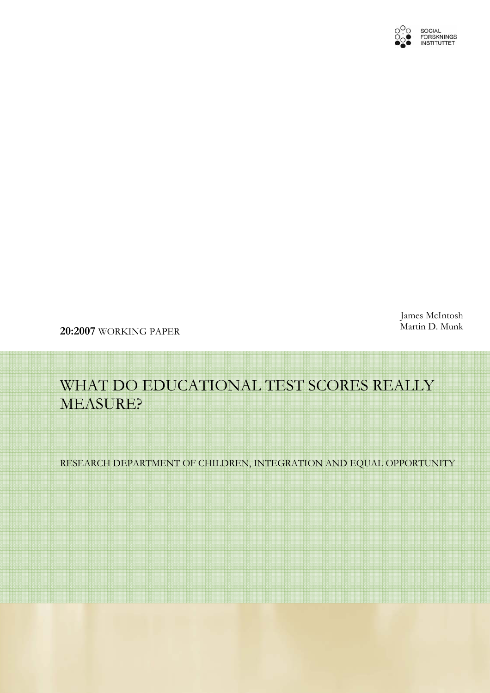

James McIntosh Martin D. Munk

**20:2007** WORKING PAPER

# WHAT DO EDUCATIONAL TEST SCORES REALLY MEASURE?

RESEARCH DEPARTMENT OF CHILDREN, INTEGRATION AND EQUAL OPPORTUNITY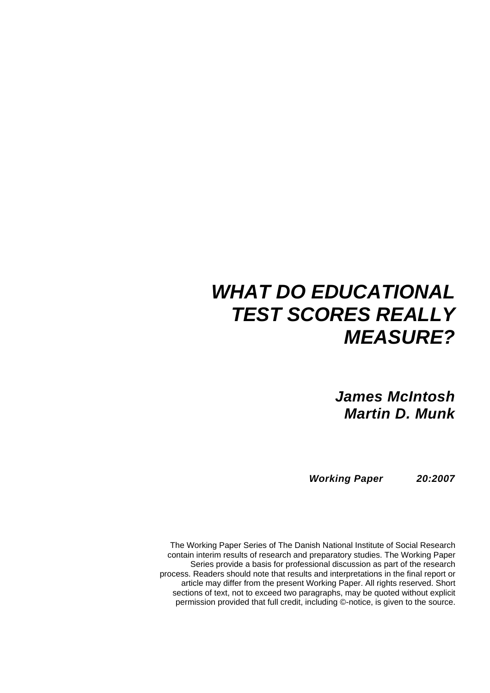# *WHAT DO EDUCATIONAL TEST SCORES REALLY MEASURE?*

*James McIntosh Martin D. Munk* 

*Working Paper 20:2007* 

The Working Paper Series of The Danish National Institute of Social Research contain interim results of research and preparatory studies. The Working Paper Series provide a basis for professional discussion as part of the research process. Readers should note that results and interpretations in the final report or article may differ from the present Working Paper. All rights reserved. Short sections of text, not to exceed two paragraphs, may be quoted without explicit permission provided that full credit, including ©-notice, is given to the source.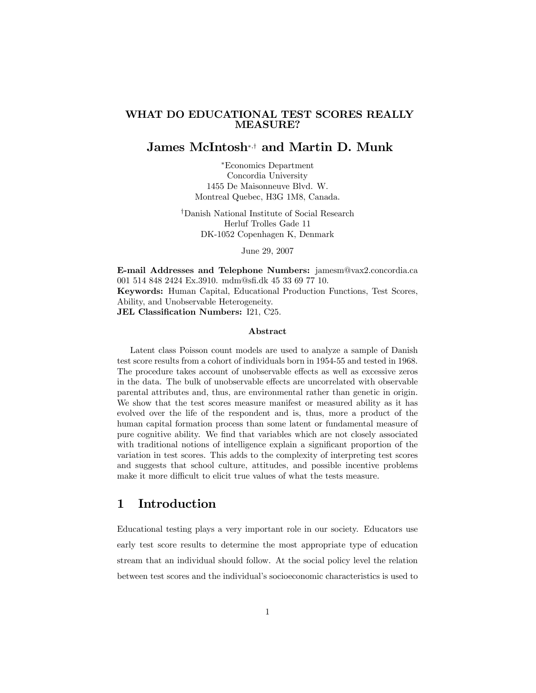#### WHAT DO EDUCATIONAL TEST SCORES REALLY MEASURE?

#### James McIntosh∗,† and Martin D. Munk

∗Economics Department Concordia University 1455 De Maisonneuve Blvd. W. Montreal Quebec, H3G 1M8, Canada.

†Danish National Institute of Social Research Herluf Trolles Gade 11 DK-1052 Copenhagen K, Denmark

June 29, 2007

E-mail Addresses and Telephone Numbers: jamesm@vax2.concordia.ca 001 514 848 2424 Ex.3910. mdm@sfi.dk 45 33 69 77 10. Keywords: Human Capital, Educational Production Functions, Test Scores, Ability, and Unobservable Heterogeneity. JEL Classification Numbers: I21, C25.

#### Abstract

Latent class Poisson count models are used to analyze a sample of Danish test score results from a cohort of individuals born in 1954-55 and tested in 1968. The procedure takes account of unobservable effects as well as excessive zeros in the data. The bulk of unobservable effects are uncorrelated with observable parental attributes and, thus, are environmental rather than genetic in origin. We show that the test scores measure manifest or measured ability as it has evolved over the life of the respondent and is, thus, more a product of the human capital formation process than some latent or fundamental measure of pure cognitive ability. We find that variables which are not closely associated with traditional notions of intelligence explain a significant proportion of the variation in test scores. This adds to the complexity of interpreting test scores and suggests that school culture, attitudes, and possible incentive problems make it more difficult to elicit true values of what the tests measure.

## 1 Introduction

Educational testing plays a very important role in our society. Educators use early test score results to determine the most appropriate type of education stream that an individual should follow. At the social policy level the relation between test scores and the individual's socioeconomic characteristics is used to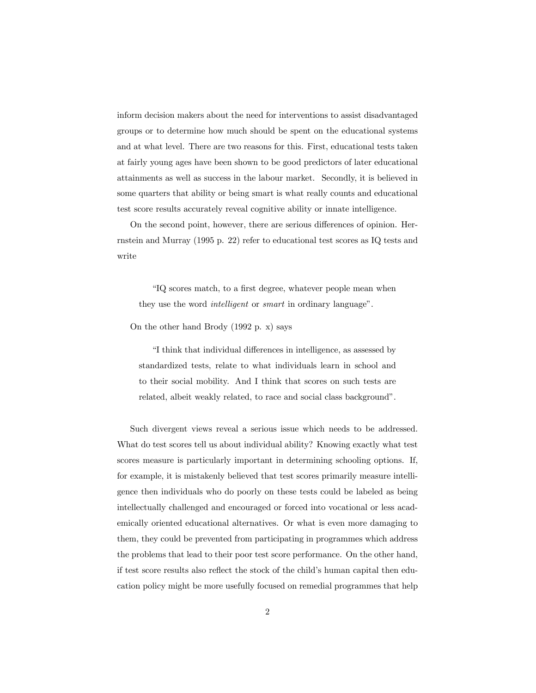inform decision makers about the need for interventions to assist disadvantaged groups or to determine how much should be spent on the educational systems and at what level. There are two reasons for this. First, educational tests taken at fairly young ages have been shown to be good predictors of later educational attainments as well as success in the labour market. Secondly, it is believed in some quarters that ability or being smart is what really counts and educational test score results accurately reveal cognitive ability or innate intelligence.

On the second point, however, there are serious differences of opinion. Herrnstein and Murray (1995 p. 22) refer to educational test scores as IQ tests and write

"IQ scores match, to a first degree, whatever people mean when they use the word *intelligent* or *smart* in ordinary language".

On the other hand Brody (1992 p. x) says

"I think that individual differences in intelligence, as assessed by standardized tests, relate to what individuals learn in school and to their social mobility. And I think that scores on such tests are related, albeit weakly related, to race and social class background".

Such divergent views reveal a serious issue which needs to be addressed. What do test scores tell us about individual ability? Knowing exactly what test scores measure is particularly important in determining schooling options. If, for example, it is mistakenly believed that test scores primarily measure intelligence then individuals who do poorly on these tests could be labeled as being intellectually challenged and encouraged or forced into vocational or less academically oriented educational alternatives. Or what is even more damaging to them, they could be prevented from participating in programmes which address the problems that lead to their poor test score performance. On the other hand, if test score results also reflect the stock of the child's human capital then education policy might be more usefully focused on remedial programmes that help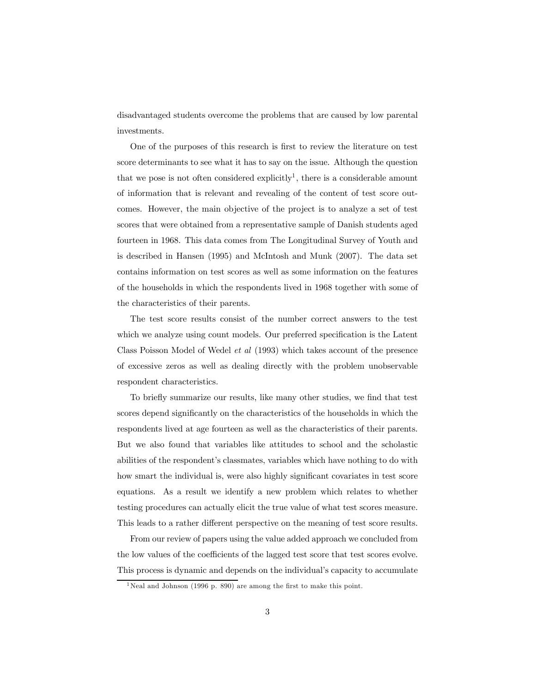disadvantaged students overcome the problems that are caused by low parental investments.

One of the purposes of this research is first to review the literature on test score determinants to see what it has to say on the issue. Although the question that we pose is not often considered explicitly<sup>1</sup>, there is a considerable amount of information that is relevant and revealing of the content of test score outcomes. However, the main objective of the project is to analyze a set of test scores that were obtained from a representative sample of Danish students aged fourteen in 1968. This data comes from The Longitudinal Survey of Youth and is described in Hansen (1995) and McIntosh and Munk (2007). The data set contains information on test scores as well as some information on the features of the households in which the respondents lived in 1968 together with some of the characteristics of their parents.

The test score results consist of the number correct answers to the test which we analyze using count models. Our preferred specification is the Latent Class Poisson Model of Wedel et al (1993) which takes account of the presence of excessive zeros as well as dealing directly with the problem unobservable respondent characteristics.

To briefly summarize our results, like many other studies, we find that test scores depend significantly on the characteristics of the households in which the respondents lived at age fourteen as well as the characteristics of their parents. But we also found that variables like attitudes to school and the scholastic abilities of the respondent's classmates, variables which have nothing to do with how smart the individual is, were also highly significant covariates in test score equations. As a result we identify a new problem which relates to whether testing procedures can actually elicit the true value of what test scores measure. This leads to a rather different perspective on the meaning of test score results.

From our review of papers using the value added approach we concluded from the low values of the coefficients of the lagged test score that test scores evolve. This process is dynamic and depends on the individual's capacity to accumulate

<sup>&</sup>lt;sup>1</sup>Neal and Johnson (1996 p. 890) are among the first to make this point.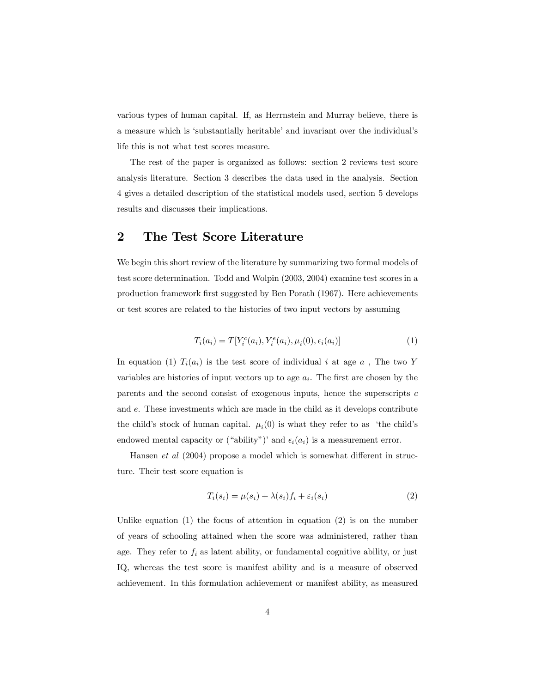various types of human capital. If, as Herrnstein and Murray believe, there is a measure which is 'substantially heritable' and invariant over the individual's life this is not what test scores measure.

The rest of the paper is organized as follows: section 2 reviews test score analysis literature. Section 3 describes the data used in the analysis. Section 4 gives a detailed description of the statistical models used, section 5 develops results and discusses their implications.

## 2 The Test Score Literature

We begin this short review of the literature by summarizing two formal models of test score determination. Todd and Wolpin (2003, 2004) examine test scores in a production framework first suggested by Ben Porath (1967). Here achievements or test scores are related to the histories of two input vectors by assuming

$$
T_i(a_i) = T[Y_i^c(a_i), Y_i^e(a_i), \mu_i(0), \epsilon_i(a_i)]
$$
\n(1)

In equation (1)  $T_i(a_i)$  is the test score of individual i at age a, The two Y variables are histories of input vectors up to age  $a_i$ . The first are chosen by the parents and the second consist of exogenous inputs, hence the superscripts  $c$ and e. These investments which are made in the child as it develops contribute the child's stock of human capital.  $\mu_i(0)$  is what they refer to as 'the child's endowed mental capacity or ("ability")' and  $\epsilon_i(a_i)$  is a measurement error.

Hansen et al (2004) propose a model which is somewhat different in structure. Their test score equation is

$$
T_i(s_i) = \mu(s_i) + \lambda(s_i)f_i + \varepsilon_i(s_i)
$$
\n<sup>(2)</sup>

Unlike equation  $(1)$  the focus of attention in equation  $(2)$  is on the number of years of schooling attained when the score was administered, rather than age. They refer to  $f_i$  as latent ability, or fundamental cognitive ability, or just IQ, whereas the test score is manifest ability and is a measure of observed achievement. In this formulation achievement or manifest ability, as measured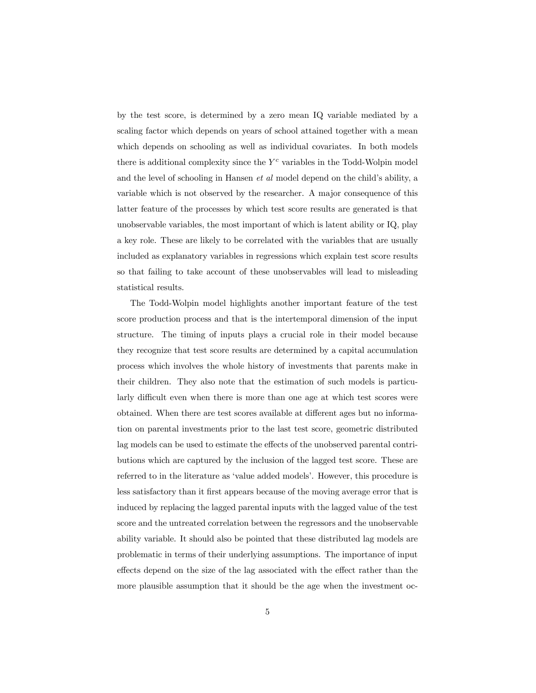by the test score, is determined by a zero mean IQ variable mediated by a scaling factor which depends on years of school attained together with a mean which depends on schooling as well as individual covariates. In both models there is additional complexity since the  $Y<sup>c</sup>$  variables in the Todd-Wolpin model and the level of schooling in Hansen et al model depend on the child's ability, a variable which is not observed by the researcher. A major consequence of this latter feature of the processes by which test score results are generated is that unobservable variables, the most important of which is latent ability or IQ, play a key role. These are likely to be correlated with the variables that are usually included as explanatory variables in regressions which explain test score results so that failing to take account of these unobservables will lead to misleading statistical results.

The Todd-Wolpin model highlights another important feature of the test score production process and that is the intertemporal dimension of the input structure. The timing of inputs plays a crucial role in their model because they recognize that test score results are determined by a capital accumulation process which involves the whole history of investments that parents make in their children. They also note that the estimation of such models is particularly difficult even when there is more than one age at which test scores were obtained. When there are test scores available at different ages but no information on parental investments prior to the last test score, geometric distributed lag models can be used to estimate the effects of the unobserved parental contributions which are captured by the inclusion of the lagged test score. These are referred to in the literature as 'value added models'. However, this procedure is less satisfactory than it first appears because of the moving average error that is induced by replacing the lagged parental inputs with the lagged value of the test score and the untreated correlation between the regressors and the unobservable ability variable. It should also be pointed that these distributed lag models are problematic in terms of their underlying assumptions. The importance of input effects depend on the size of the lag associated with the effect rather than the more plausible assumption that it should be the age when the investment oc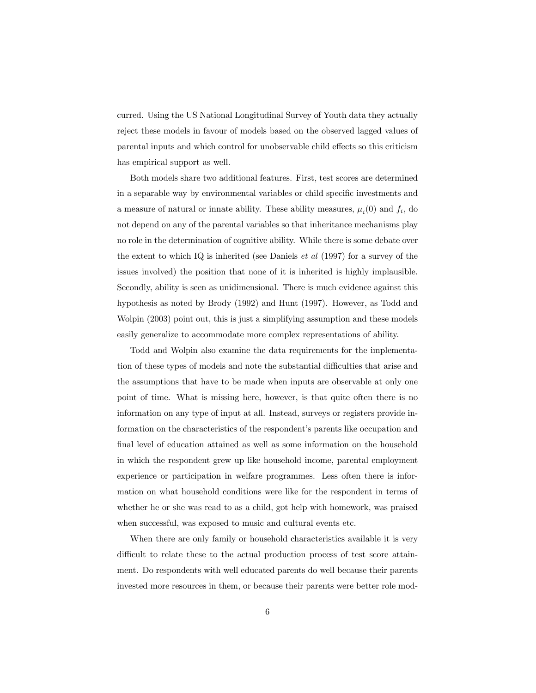curred. Using the US National Longitudinal Survey of Youth data they actually reject these models in favour of models based on the observed lagged values of parental inputs and which control for unobservable child effects so this criticism has empirical support as well.

Both models share two additional features. First, test scores are determined in a separable way by environmental variables or child specific investments and a measure of natural or innate ability. These ability measures,  $\mu_i(0)$  and  $f_i$ , do not depend on any of the parental variables so that inheritance mechanisms play no role in the determination of cognitive ability. While there is some debate over the extent to which IQ is inherited (see Daniels *et al*  $(1997)$  for a survey of the issues involved) the position that none of it is inherited is highly implausible. Secondly, ability is seen as unidimensional. There is much evidence against this hypothesis as noted by Brody (1992) and Hunt (1997). However, as Todd and Wolpin (2003) point out, this is just a simplifying assumption and these models easily generalize to accommodate more complex representations of ability.

Todd and Wolpin also examine the data requirements for the implementation of these types of models and note the substantial difficulties that arise and the assumptions that have to be made when inputs are observable at only one point of time. What is missing here, however, is that quite often there is no information on any type of input at all. Instead, surveys or registers provide information on the characteristics of the respondent's parents like occupation and final level of education attained as well as some information on the household in which the respondent grew up like household income, parental employment experience or participation in welfare programmes. Less often there is information on what household conditions were like for the respondent in terms of whether he or she was read to as a child, got help with homework, was praised when successful, was exposed to music and cultural events etc.

When there are only family or household characteristics available it is very difficult to relate these to the actual production process of test score attainment. Do respondents with well educated parents do well because their parents invested more resources in them, or because their parents were better role mod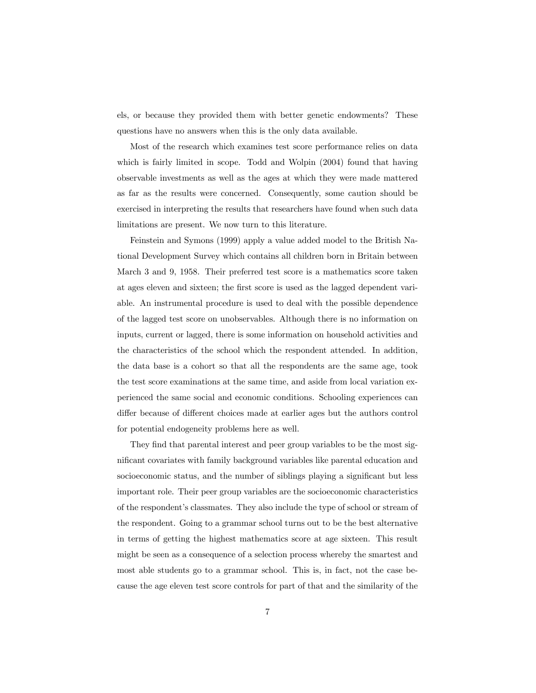els, or because they provided them with better genetic endowments? These questions have no answers when this is the only data available.

Most of the research which examines test score performance relies on data which is fairly limited in scope. Todd and Wolpin (2004) found that having observable investments as well as the ages at which they were made mattered as far as the results were concerned. Consequently, some caution should be exercised in interpreting the results that researchers have found when such data limitations are present. We now turn to this literature.

Feinstein and Symons (1999) apply a value added model to the British National Development Survey which contains all children born in Britain between March 3 and 9, 1958. Their preferred test score is a mathematics score taken at ages eleven and sixteen; the first score is used as the lagged dependent variable. An instrumental procedure is used to deal with the possible dependence of the lagged test score on unobservables. Although there is no information on inputs, current or lagged, there is some information on household activities and the characteristics of the school which the respondent attended. In addition, the data base is a cohort so that all the respondents are the same age, took the test score examinations at the same time, and aside from local variation experienced the same social and economic conditions. Schooling experiences can differ because of different choices made at earlier ages but the authors control for potential endogeneity problems here as well.

They find that parental interest and peer group variables to be the most significant covariates with family background variables like parental education and socioeconomic status, and the number of siblings playing a significant but less important role. Their peer group variables are the socioeconomic characteristics of the respondent's classmates. They also include the type of school or stream of the respondent. Going to a grammar school turns out to be the best alternative in terms of getting the highest mathematics score at age sixteen. This result might be seen as a consequence of a selection process whereby the smartest and most able students go to a grammar school. This is, in fact, not the case because the age eleven test score controls for part of that and the similarity of the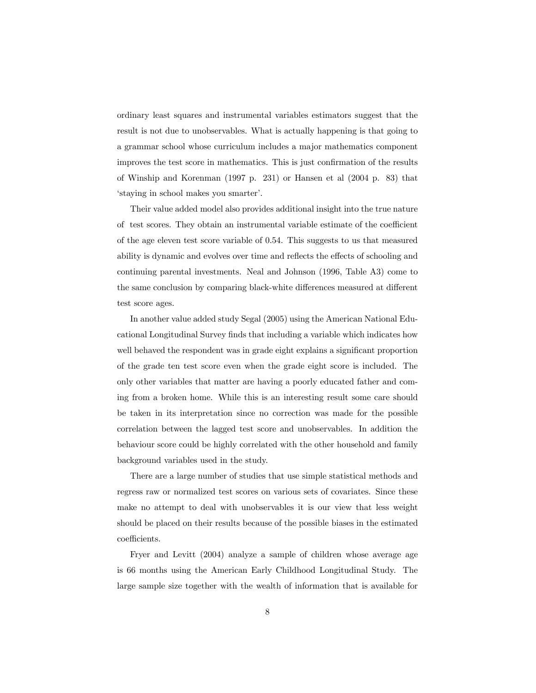ordinary least squares and instrumental variables estimators suggest that the result is not due to unobservables. What is actually happening is that going to a grammar school whose curriculum includes a major mathematics component improves the test score in mathematics. This is just confirmation of the results of Winship and Korenman (1997 p. 231) or Hansen et al (2004 p. 83) that 'staying in school makes you smarter'.

Their value added model also provides additional insight into the true nature of test scores. They obtain an instrumental variable estimate of the coefficient of the age eleven test score variable of 0.54. This suggests to us that measured ability is dynamic and evolves over time and reflects the effects of schooling and continuing parental investments. Neal and Johnson (1996, Table A3) come to the same conclusion by comparing black-white differences measured at different test score ages.

In another value added study Segal (2005) using the American National Educational Longitudinal Survey finds that including a variable which indicates how well behaved the respondent was in grade eight explains a significant proportion of the grade ten test score even when the grade eight score is included. The only other variables that matter are having a poorly educated father and coming from a broken home. While this is an interesting result some care should be taken in its interpretation since no correction was made for the possible correlation between the lagged test score and unobservables. In addition the behaviour score could be highly correlated with the other household and family background variables used in the study.

There are a large number of studies that use simple statistical methods and regress raw or normalized test scores on various sets of covariates. Since these make no attempt to deal with unobservables it is our view that less weight should be placed on their results because of the possible biases in the estimated coefficients.

Fryer and Levitt (2004) analyze a sample of children whose average age is 66 months using the American Early Childhood Longitudinal Study. The large sample size together with the wealth of information that is available for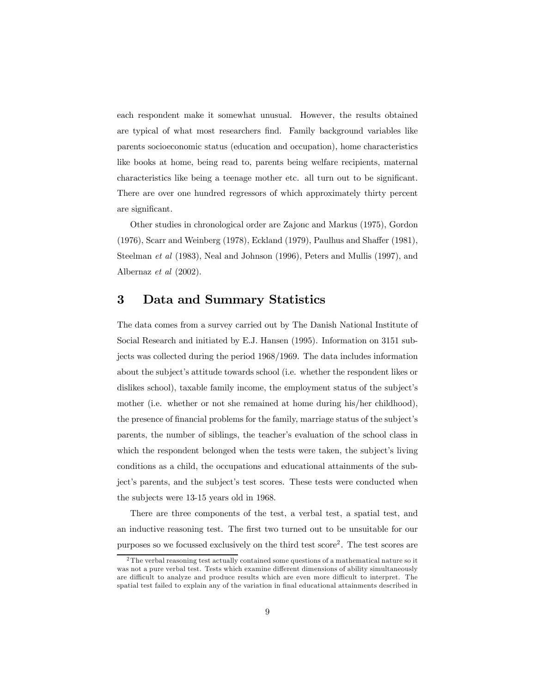each respondent make it somewhat unusual. However, the results obtained are typical of what most researchers find. Family background variables like parents socioeconomic status (education and occupation), home characteristics like books at home, being read to, parents being welfare recipients, maternal characteristics like being a teenage mother etc. all turn out to be significant. There are over one hundred regressors of which approximately thirty percent are significant.

Other studies in chronological order are Zajonc and Markus (1975), Gordon (1976), Scarr and Weinberg (1978), Eckland (1979), Paulhus and Shaffer (1981), Steelman et al (1983), Neal and Johnson (1996), Peters and Mullis (1997), and Albernaz et al (2002).

## 3 Data and Summary Statistics

The data comes from a survey carried out by The Danish National Institute of Social Research and initiated by E.J. Hansen (1995). Information on 3151 subjects was collected during the period 1968/1969. The data includes information about the subject's attitude towards school (i.e. whether the respondent likes or dislikes school), taxable family income, the employment status of the subject's mother (i.e. whether or not she remained at home during his/her childhood), the presence of financial problems for the family, marriage status of the subject's parents, the number of siblings, the teacher's evaluation of the school class in which the respondent belonged when the tests were taken, the subject's living conditions as a child, the occupations and educational attainments of the subject's parents, and the subject's test scores. These tests were conducted when the subjects were 13-15 years old in 1968.

There are three components of the test, a verbal test, a spatial test, and an inductive reasoning test. The first two turned out to be unsuitable for our purposes so we focussed exclusively on the third test score2 . The test scores are

<sup>&</sup>lt;sup>2</sup>The verbal reasoning test actually contained some questions of a mathematical nature so it was not a pure verbal test. Tests which examine different dimensions of ability simultaneously are difficult to analyze and produce results which are even more difficult to interpret. The spatial test failed to explain any of the variation in final educational attainments described in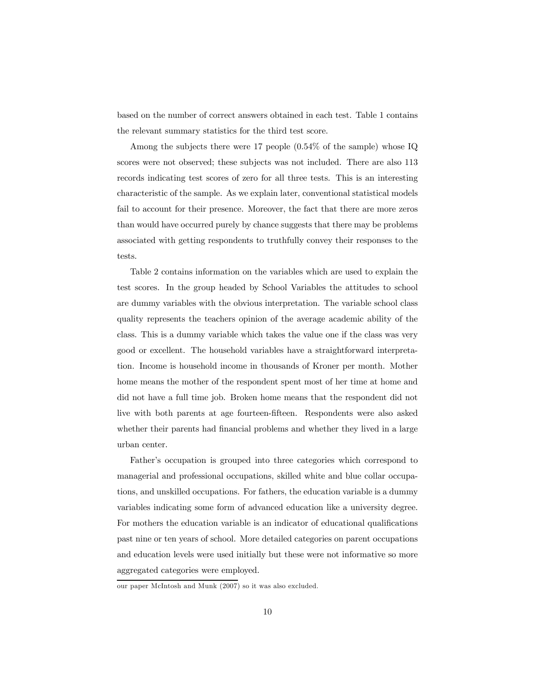based on the number of correct answers obtained in each test. Table 1 contains the relevant summary statistics for the third test score.

Among the subjects there were 17 people (0.54% of the sample) whose IQ scores were not observed; these subjects was not included. There are also 113 records indicating test scores of zero for all three tests. This is an interesting characteristic of the sample. As we explain later, conventional statistical models fail to account for their presence. Moreover, the fact that there are more zeros than would have occurred purely by chance suggests that there may be problems associated with getting respondents to truthfully convey their responses to the tests.

Table 2 contains information on the variables which are used to explain the test scores. In the group headed by School Variables the attitudes to school are dummy variables with the obvious interpretation. The variable school class quality represents the teachers opinion of the average academic ability of the class. This is a dummy variable which takes the value one if the class was very good or excellent. The household variables have a straightforward interpretation. Income is household income in thousands of Kroner per month. Mother home means the mother of the respondent spent most of her time at home and did not have a full time job. Broken home means that the respondent did not live with both parents at age fourteen-fifteen. Respondents were also asked whether their parents had financial problems and whether they lived in a large urban center.

Father's occupation is grouped into three categories which correspond to managerial and professional occupations, skilled white and blue collar occupations, and unskilled occupations. For fathers, the education variable is a dummy variables indicating some form of advanced education like a university degree. For mothers the education variable is an indicator of educational qualifications past nine or ten years of school. More detailed categories on parent occupations and education levels were used initially but these were not informative so more aggregated categories were employed.

our paper McIntosh and Munk (2007) so it was also excluded.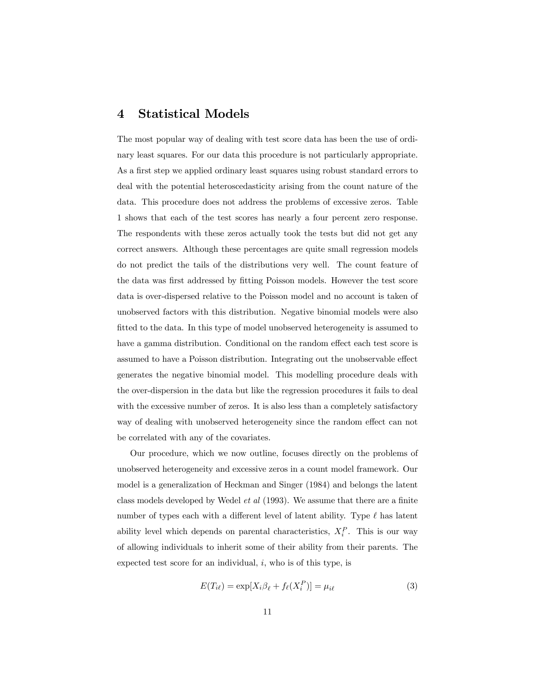#### 4 Statistical Models

The most popular way of dealing with test score data has been the use of ordinary least squares. For our data this procedure is not particularly appropriate. As a first step we applied ordinary least squares using robust standard errors to deal with the potential heteroscedasticity arising from the count nature of the data. This procedure does not address the problems of excessive zeros. Table 1 shows that each of the test scores has nearly a four percent zero response. The respondents with these zeros actually took the tests but did not get any correct answers. Although these percentages are quite small regression models do not predict the tails of the distributions very well. The count feature of the data was first addressed by fitting Poisson models. However the test score data is over-dispersed relative to the Poisson model and no account is taken of unobserved factors with this distribution. Negative binomial models were also fitted to the data. In this type of model unobserved heterogeneity is assumed to have a gamma distribution. Conditional on the random effect each test score is assumed to have a Poisson distribution. Integrating out the unobservable effect generates the negative binomial model. This modelling procedure deals with the over-dispersion in the data but like the regression procedures it fails to deal with the excessive number of zeros. It is also less than a completely satisfactory way of dealing with unobserved heterogeneity since the random effect can not be correlated with any of the covariates.

Our procedure, which we now outline, focuses directly on the problems of unobserved heterogeneity and excessive zeros in a count model framework. Our model is a generalization of Heckman and Singer (1984) and belongs the latent class models developed by Wedel et al (1993). We assume that there are a finite number of types each with a different level of latent ability. Type  $\ell$  has latent ability level which depends on parental characteristics,  $X_i^P$ . This is our way of allowing individuals to inherit some of their ability from their parents. The expected test score for an individual,  $i$ , who is of this type, is

$$
E(T_{i\ell}) = \exp[X_i \beta_\ell + f_\ell(X_i^P)] = \mu_{i\ell} \tag{3}
$$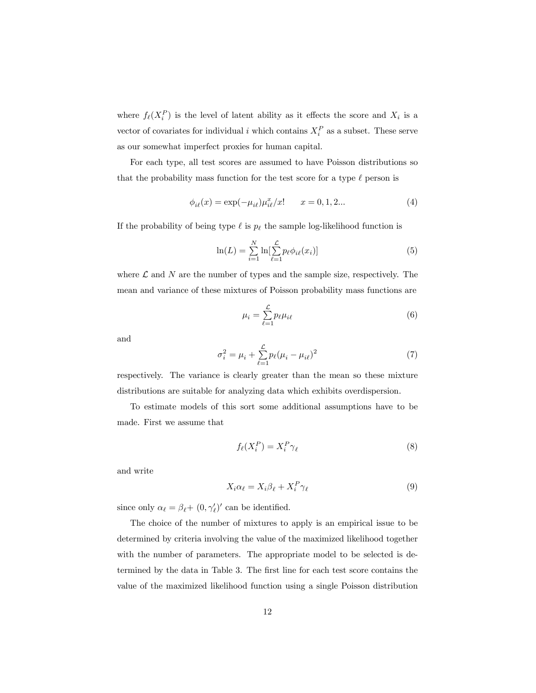where  $f_{\ell}(X_i^P)$  is the level of latent ability as it effects the score and  $X_i$  is a vector of covariates for individual i which contains  $X_i^P$  as a subset. These serve as our somewhat imperfect proxies for human capital.

For each type, all test scores are assumed to have Poisson distributions so that the probability mass function for the test score for a type  $\ell$  person is

$$
\phi_{i\ell}(x) = \exp(-\mu_{i\ell})\mu_{i\ell}^x/x! \qquad x = 0, 1, 2... \tag{4}
$$

If the probability of being type  $\ell$  is  $p_{\ell}$  the sample log-likelihood function is

$$
\ln(L) = \sum_{i=1}^{N} \ln[\sum_{\ell=1}^{L} p_{\ell} \phi_{i\ell}(x_i)]
$$
 (5)

where  $\mathcal L$  and  $N$  are the number of types and the sample size, respectively. The mean and variance of these mixtures of Poisson probability mass functions are

$$
\mu_i = \sum_{\ell=1}^{\mathcal{L}} p_{\ell} \mu_{i\ell} \tag{6}
$$

and

$$
\sigma_i^2 = \mu_i + \sum_{\ell=1}^{\mathcal{L}} p_\ell (\mu_i - \mu_{i\ell})^2
$$
 (7)

respectively. The variance is clearly greater than the mean so these mixture distributions are suitable for analyzing data which exhibits overdispersion.

To estimate models of this sort some additional assumptions have to be made. First we assume that

$$
f_{\ell}(X_i^P) = X_i^P \gamma_{\ell} \tag{8}
$$

and write

$$
X_i \alpha_\ell = X_i \beta_\ell + X_i^P \gamma_\ell \tag{9}
$$

since only  $\alpha_{\ell} = \beta_{\ell} + (0, \gamma'_{\ell})'$  can be identified.

The choice of the number of mixtures to apply is an empirical issue to be determined by criteria involving the value of the maximized likelihood together with the number of parameters. The appropriate model to be selected is determined by the data in Table 3. The first line for each test score contains the value of the maximized likelihood function using a single Poisson distribution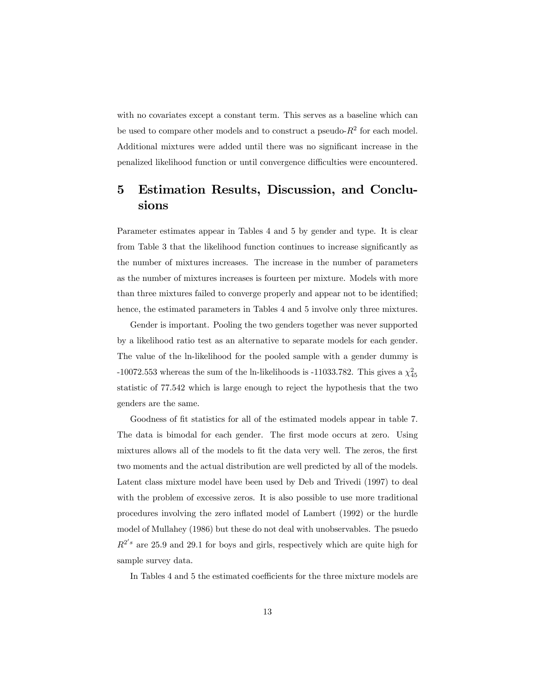with no covariates except a constant term. This serves as a baseline which can be used to compare other models and to construct a pseudo- $R^2$  for each model. Additional mixtures were added until there was no significant increase in the penalized likelihood function or until convergence difficulties were encountered.

## 5 Estimation Results, Discussion, and Conclusions

Parameter estimates appear in Tables 4 and 5 by gender and type. It is clear from Table 3 that the likelihood function continues to increase significantly as the number of mixtures increases. The increase in the number of parameters as the number of mixtures increases is fourteen per mixture. Models with more than three mixtures failed to converge properly and appear not to be identified; hence, the estimated parameters in Tables 4 and 5 involve only three mixtures.

Gender is important. Pooling the two genders together was never supported by a likelihood ratio test as an alternative to separate models for each gender. The value of the ln-likelihood for the pooled sample with a gender dummy is -10072.553 whereas the sum of the ln-likelihoods is -11033.782. This gives a  $\chi^2_{45}$ statistic of 77.542 which is large enough to reject the hypothesis that the two genders are the same.

Goodness of fit statistics for all of the estimated models appear in table 7. The data is bimodal for each gender. The first mode occurs at zero. Using mixtures allows all of the models to fit the data very well. The zeros, the first two moments and the actual distribution are well predicted by all of the models. Latent class mixture model have been used by Deb and Trivedi (1997) to deal with the problem of excessive zeros. It is also possible to use more traditional procedures involving the zero inflated model of Lambert (1992) or the hurdle model of Mullahey (1986) but these do not deal with unobservables. The psuedo  $R^{2's}$  are 25.9 and 29.1 for boys and girls, respectively which are quite high for sample survey data.

In Tables 4 and 5 the estimated coefficients for the three mixture models are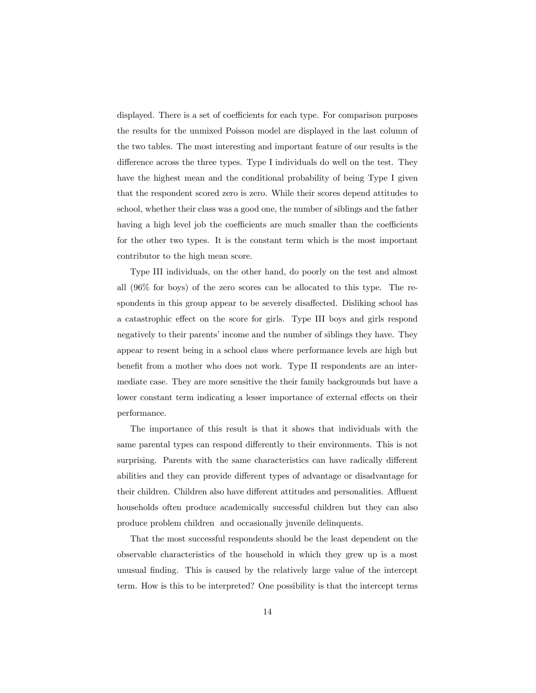displayed. There is a set of coefficients for each type. For comparison purposes the results for the unmixed Poisson model are displayed in the last column of the two tables. The most interesting and important feature of our results is the difference across the three types. Type I individuals do well on the test. They have the highest mean and the conditional probability of being Type I given that the respondent scored zero is zero. While their scores depend attitudes to school, whether their class was a good one, the number of siblings and the father having a high level job the coefficients are much smaller than the coefficients for the other two types. It is the constant term which is the most important contributor to the high mean score.

Type III individuals, on the other hand, do poorly on the test and almost all (96% for boys) of the zero scores can be allocated to this type. The respondents in this group appear to be severely disaffected. Disliking school has a catastrophic effect on the score for girls. Type III boys and girls respond negatively to their parents' income and the number of siblings they have. They appear to resent being in a school class where performance levels are high but benefit from a mother who does not work. Type II respondents are an intermediate case. They are more sensitive the their family backgrounds but have a lower constant term indicating a lesser importance of external effects on their performance.

The importance of this result is that it shows that individuals with the same parental types can respond differently to their environments. This is not surprising. Parents with the same characteristics can have radically different abilities and they can provide different types of advantage or disadvantage for their children. Children also have different attitudes and personalities. Affluent households often produce academically successful children but they can also produce problem children and occasionally juvenile delinquents.

That the most successful respondents should be the least dependent on the observable characteristics of the household in which they grew up is a most unusual finding. This is caused by the relatively large value of the intercept term. How is this to be interpreted? One possibility is that the intercept terms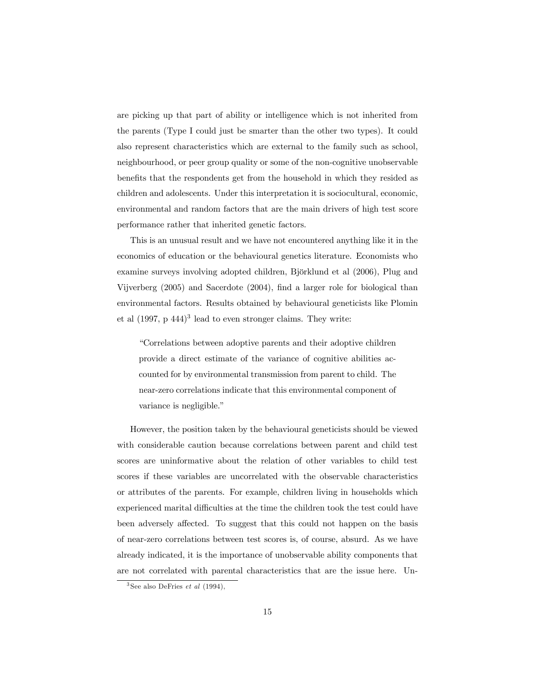are picking up that part of ability or intelligence which is not inherited from the parents (Type I could just be smarter than the other two types). It could also represent characteristics which are external to the family such as school, neighbourhood, or peer group quality or some of the non-cognitive unobservable benefits that the respondents get from the household in which they resided as children and adolescents. Under this interpretation it is sociocultural, economic, environmental and random factors that are the main drivers of high test score performance rather that inherited genetic factors.

This is an unusual result and we have not encountered anything like it in the economics of education or the behavioural genetics literature. Economists who examine surveys involving adopted children, Björklund et al (2006), Plug and Vijverberg (2005) and Sacerdote (2004), find a larger role for biological than environmental factors. Results obtained by behavioural geneticists like Plomin et al  $(1997, p 444)^3$  lead to even stronger claims. They write:

"Correlations between adoptive parents and their adoptive children provide a direct estimate of the variance of cognitive abilities accounted for by environmental transmission from parent to child. The near-zero correlations indicate that this environmental component of variance is negligible."

However, the position taken by the behavioural geneticists should be viewed with considerable caution because correlations between parent and child test scores are uninformative about the relation of other variables to child test scores if these variables are uncorrelated with the observable characteristics or attributes of the parents. For example, children living in households which experienced marital difficulties at the time the children took the test could have been adversely affected. To suggest that this could not happen on the basis of near-zero correlations between test scores is, of course, absurd. As we have already indicated, it is the importance of unobservable ability components that are not correlated with parental characteristics that are the issue here. Un-

<sup>&</sup>lt;sup>3</sup> See also DeFries *et al* (1994),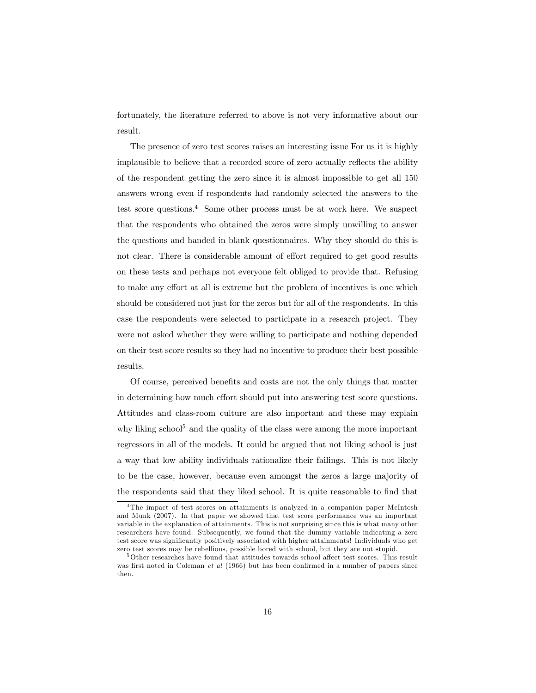fortunately, the literature referred to above is not very informative about our result.

The presence of zero test scores raises an interesting issue For us it is highly implausible to believe that a recorded score of zero actually reflects the ability of the respondent getting the zero since it is almost impossible to get all 150 answers wrong even if respondents had randomly selected the answers to the test score questions. $4$  Some other process must be at work here. We suspect that the respondents who obtained the zeros were simply unwilling to answer the questions and handed in blank questionnaires. Why they should do this is not clear. There is considerable amount of effort required to get good results on these tests and perhaps not everyone felt obliged to provide that. Refusing to make any effort at all is extreme but the problem of incentives is one which should be considered not just for the zeros but for all of the respondents. In this case the respondents were selected to participate in a research project. They were not asked whether they were willing to participate and nothing depended on their test score results so they had no incentive to produce their best possible results.

Of course, perceived benefits and costs are not the only things that matter in determining how much effort should put into answering test score questions. Attitudes and class-room culture are also important and these may explain why liking school<sup>5</sup> and the quality of the class were among the more important regressors in all of the models. It could be argued that not liking school is just a way that low ability individuals rationalize their failings. This is not likely to be the case, however, because even amongst the zeros a large majority of the respondents said that they liked school. It is quite reasonable to find that

<sup>4</sup>The impact of test scores on attainments is analyzed in a companion paper McIntosh and Munk (2007). In that paper we showed that test score performance was an important variable in the explanation of attainments. This is not surprising since this is what many other researchers have found. Subsequently, we found that the dummy variable indicating a zero test score was significantly positively associated with higher attainments! Individuals who get zero test scores may be rebellious, possible bored with school, but they are not stupid.

<sup>5</sup>Other researches have found that attitudes towards school affect test scores. This result was first noted in Coleman *et al* (1966) but has been confirmed in a number of papers since then.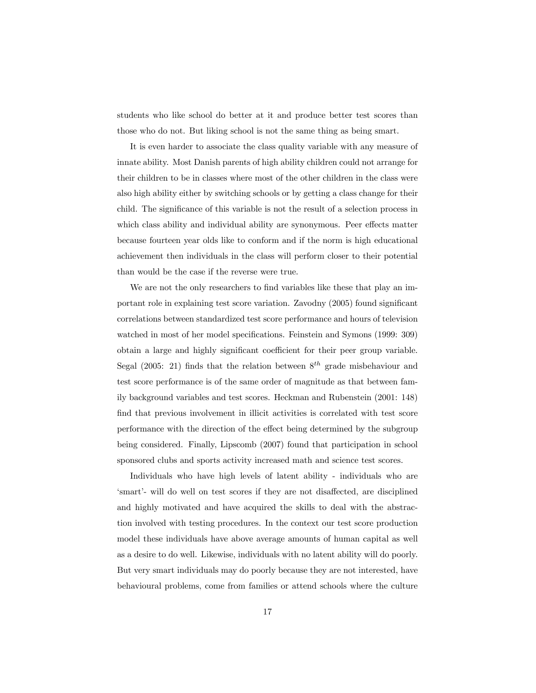students who like school do better at it and produce better test scores than those who do not. But liking school is not the same thing as being smart.

It is even harder to associate the class quality variable with any measure of innate ability. Most Danish parents of high ability children could not arrange for their children to be in classes where most of the other children in the class were also high ability either by switching schools or by getting a class change for their child. The significance of this variable is not the result of a selection process in which class ability and individual ability are synonymous. Peer effects matter because fourteen year olds like to conform and if the norm is high educational achievement then individuals in the class will perform closer to their potential than would be the case if the reverse were true.

We are not the only researchers to find variables like these that play an important role in explaining test score variation. Zavodny (2005) found significant correlations between standardized test score performance and hours of television watched in most of her model specifications. Feinstein and Symons (1999: 309) obtain a large and highly significant coefficient for their peer group variable. Segal (2005: 21) finds that the relation between  $8<sup>th</sup>$  grade misbehaviour and test score performance is of the same order of magnitude as that between family background variables and test scores. Heckman and Rubenstein (2001: 148) find that previous involvement in illicit activities is correlated with test score performance with the direction of the effect being determined by the subgroup being considered. Finally, Lipscomb (2007) found that participation in school sponsored clubs and sports activity increased math and science test scores.

Individuals who have high levels of latent ability - individuals who are 'smart'- will do well on test scores if they are not disaffected, are disciplined and highly motivated and have acquired the skills to deal with the abstraction involved with testing procedures. In the context our test score production model these individuals have above average amounts of human capital as well as a desire to do well. Likewise, individuals with no latent ability will do poorly. But very smart individuals may do poorly because they are not interested, have behavioural problems, come from families or attend schools where the culture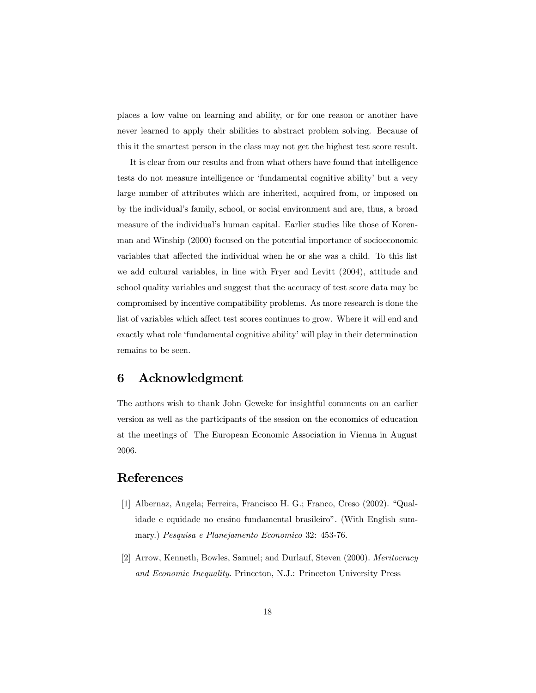places a low value on learning and ability, or for one reason or another have never learned to apply their abilities to abstract problem solving. Because of this it the smartest person in the class may not get the highest test score result.

It is clear from our results and from what others have found that intelligence tests do not measure intelligence or 'fundamental cognitive ability' but a very large number of attributes which are inherited, acquired from, or imposed on by the individual's family, school, or social environment and are, thus, a broad measure of the individual's human capital. Earlier studies like those of Korenman and Winship (2000) focused on the potential importance of socioeconomic variables that affected the individual when he or she was a child. To this list we add cultural variables, in line with Fryer and Levitt (2004), attitude and school quality variables and suggest that the accuracy of test score data may be compromised by incentive compatibility problems. As more research is done the list of variables which affect test scores continues to grow. Where it will end and exactly what role 'fundamental cognitive ability' will play in their determination remains to be seen.

## 6 Acknowledgment

The authors wish to thank John Geweke for insightful comments on an earlier version as well as the participants of the session on the economics of education at the meetings of The European Economic Association in Vienna in August 2006.

## References

- [1] Albernaz, Angela; Ferreira, Francisco H. G.; Franco, Creso (2002). "Qualidade e equidade no ensino fundamental brasileiro". (With English summary.) Pesquisa e Planejamento Economico 32: 453-76.
- [2] Arrow, Kenneth, Bowles, Samuel; and Durlauf, Steven (2000). Meritocracy and Economic Inequality. Princeton, N.J.: Princeton University Press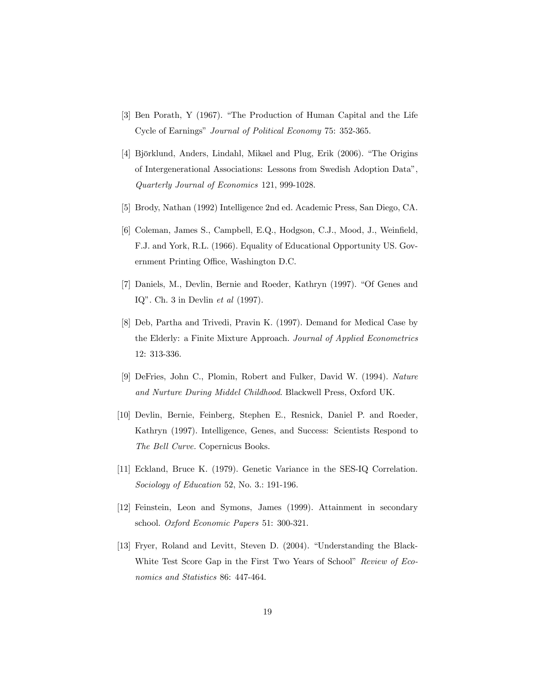- [3] Ben Porath, Y (1967). "The Production of Human Capital and the Life Cycle of Earnings" Journal of Political Economy 75: 352-365.
- [4] Björklund, Anders, Lindahl, Mikael and Plug, Erik (2006). "The Origins of Intergenerational Associations: Lessons from Swedish Adoption Data", Quarterly Journal of Economics 121, 999-1028.
- [5] Brody, Nathan (1992) Intelligence 2nd ed. Academic Press, San Diego, CA.
- [6] Coleman, James S., Campbell, E.Q., Hodgson, C.J., Mood, J., Weinfield, F.J. and York, R.L. (1966). Equality of Educational Opportunity US. Government Printing Office, Washington D.C.
- [7] Daniels, M., Devlin, Bernie and Roeder, Kathryn (1997). "Of Genes and IQ". Ch. 3 in Devlin et al (1997).
- [8] Deb, Partha and Trivedi, Pravin K. (1997). Demand for Medical Case by the Elderly: a Finite Mixture Approach. Journal of Applied Econometrics 12: 313-336.
- [9] DeFries, John C., Plomin, Robert and Fulker, David W. (1994). Nature and Nurture During Middel Childhood. Blackwell Press, Oxford UK.
- [10] Devlin, Bernie, Feinberg, Stephen E., Resnick, Daniel P. and Roeder, Kathryn (1997). Intelligence, Genes, and Success: Scientists Respond to The Bell Curve. Copernicus Books.
- [11] Eckland, Bruce K. (1979). Genetic Variance in the SES-IQ Correlation. Sociology of Education 52, No. 3.: 191-196.
- [12] Feinstein, Leon and Symons, James (1999). Attainment in secondary school. Oxford Economic Papers 51: 300-321.
- [13] Fryer, Roland and Levitt, Steven D. (2004). "Understanding the Black-White Test Score Gap in the First Two Years of School" Review of Economics and Statistics 86: 447-464.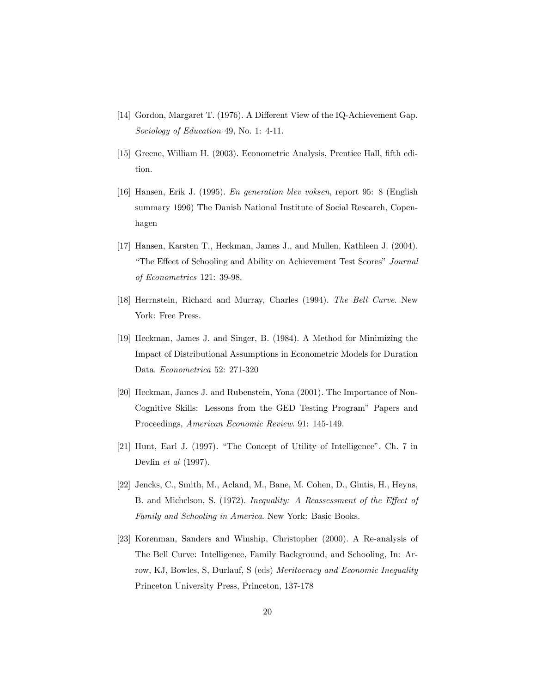- [14] Gordon, Margaret T. (1976). A Different View of the IQ-Achievement Gap. Sociology of Education 49, No. 1: 4-11.
- [15] Greene, William H. (2003). Econometric Analysis, Prentice Hall, fifth edition.
- [16] Hansen, Erik J. (1995). En generation blev voksen, report 95: 8 (English summary 1996) The Danish National Institute of Social Research, Copenhagen
- [17] Hansen, Karsten T., Heckman, James J., and Mullen, Kathleen J. (2004). "The Effect of Schooling and Ability on Achievement Test Scores" Journal of Econometrics 121: 39-98.
- [18] Herrnstein, Richard and Murray, Charles (1994). The Bell Curve. New York: Free Press.
- [19] Heckman, James J. and Singer, B. (1984). A Method for Minimizing the Impact of Distributional Assumptions in Econometric Models for Duration Data. Econometrica 52: 271-320
- [20] Heckman, James J. and Rubenstein, Yona (2001). The Importance of Non-Cognitive Skills: Lessons from the GED Testing Program" Papers and Proceedings, American Economic Review. 91: 145-149.
- [21] Hunt, Earl J. (1997). "The Concept of Utility of Intelligence". Ch. 7 in Devlin et al (1997).
- [22] Jencks, C., Smith, M., Acland, M., Bane, M. Cohen, D., Gintis, H., Heyns, B. and Michelson, S. (1972). Inequality: A Reassessment of the Effect of Family and Schooling in America. New York: Basic Books.
- [23] Korenman, Sanders and Winship, Christopher (2000). A Re-analysis of The Bell Curve: Intelligence, Family Background, and Schooling, In: Arrow, KJ, Bowles, S, Durlauf, S (eds) Meritocracy and Economic Inequality Princeton University Press, Princeton, 137-178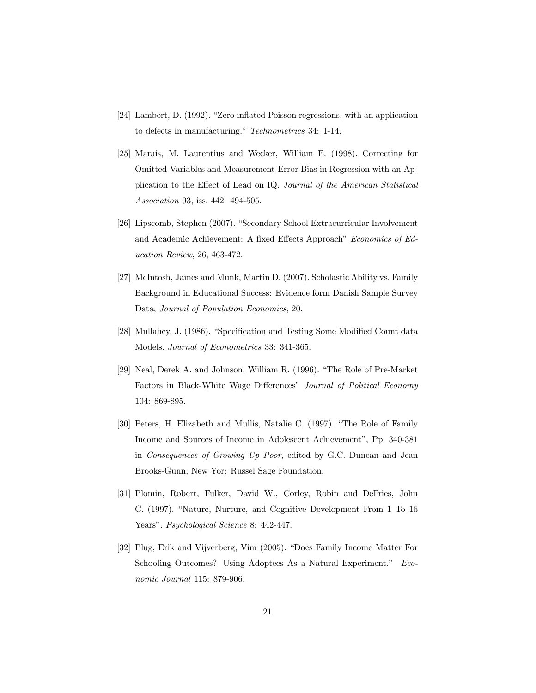- [24] Lambert, D. (1992). "Zero inflated Poisson regressions, with an application to defects in manufacturing." Technometrics 34: 1-14.
- [25] Marais, M. Laurentius and Wecker, William E. (1998). Correcting for Omitted-Variables and Measurement-Error Bias in Regression with an Application to the Effect of Lead on IQ. Journal of the American Statistical Association 93, iss. 442: 494-505.
- [26] Lipscomb, Stephen (2007). "Secondary School Extracurricular Involvement and Academic Achievement: A fixed Effects Approach" Economics of Education Review, 26, 463-472.
- [27] McIntosh, James and Munk, Martin D. (2007). Scholastic Ability vs. Family Background in Educational Success: Evidence form Danish Sample Survey Data, Journal of Population Economics, 20.
- [28] Mullahey, J. (1986). "Specification and Testing Some Modified Count data Models. Journal of Econometrics 33: 341-365.
- [29] Neal, Derek A. and Johnson, William R. (1996). "The Role of Pre-Market Factors in Black-White Wage Differences" Journal of Political Economy 104: 869-895.
- [30] Peters, H. Elizabeth and Mullis, Natalie C. (1997). "The Role of Family Income and Sources of Income in Adolescent Achievement", Pp. 340-381 in Consequences of Growing Up Poor, edited by G.C. Duncan and Jean Brooks-Gunn, New Yor: Russel Sage Foundation.
- [31] Plomin, Robert, Fulker, David W., Corley, Robin and DeFries, John C. (1997). "Nature, Nurture, and Cognitive Development From 1 To 16 Years". Psychological Science 8: 442-447.
- [32] Plug, Erik and Vijverberg, Vim (2005). "Does Family Income Matter For Schooling Outcomes? Using Adoptees As a Natural Experiment." Economic Journal 115: 879-906.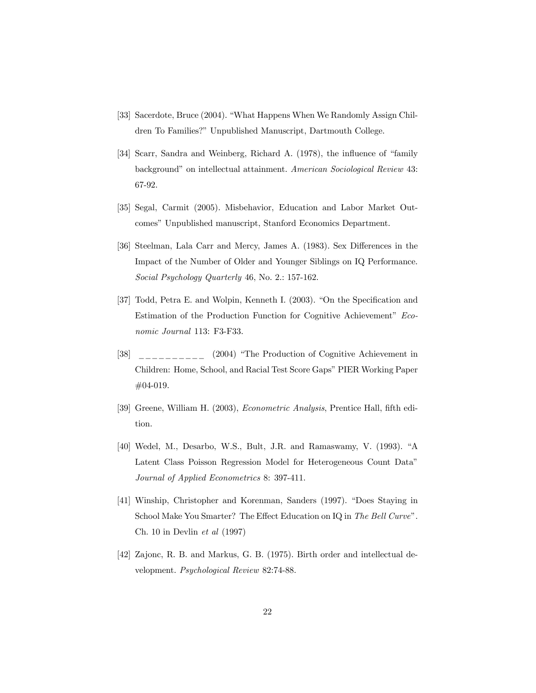- [33] Sacerdote, Bruce (2004). "What Happens When We Randomly Assign Children To Families?" Unpublished Manuscript, Dartmouth College.
- [34] Scarr, Sandra and Weinberg, Richard A. (1978), the influence of "family background" on intellectual attainment. American Sociological Review 43: 67-92.
- [35] Segal, Carmit (2005). Misbehavior, Education and Labor Market Outcomes" Unpublished manuscript, Stanford Economics Department.
- [36] Steelman, Lala Carr and Mercy, James A. (1983). Sex Differences in the Impact of the Number of Older and Younger Siblings on IQ Performance. Social Psychology Quarterly 46, No. 2.: 157-162.
- [37] Todd, Petra E. and Wolpin, Kenneth I. (2003). "On the Specification and Estimation of the Production Function for Cognitive Achievement" Economic Journal 113: F3-F33.
- [38] (2004) "The Production of Cognitive Achievement in Children: Home, School, and Racial Test Score Gaps" PIER Working Paper #04-019.
- [39] Greene, William H. (2003), Econometric Analysis, Prentice Hall, fifth edition.
- [40] Wedel, M., Desarbo, W.S., Bult, J.R. and Ramaswamy, V. (1993). "A Latent Class Poisson Regression Model for Heterogeneous Count Data" Journal of Applied Econometrics 8: 397-411.
- [41] Winship, Christopher and Korenman, Sanders (1997). "Does Staying in School Make You Smarter? The Effect Education on IQ in The Bell Curve". Ch. 10 in Devlin  $et \ al \ (1997)$
- [42] Zajonc, R. B. and Markus, G. B. (1975). Birth order and intellectual development. Psychological Review 82:74-88.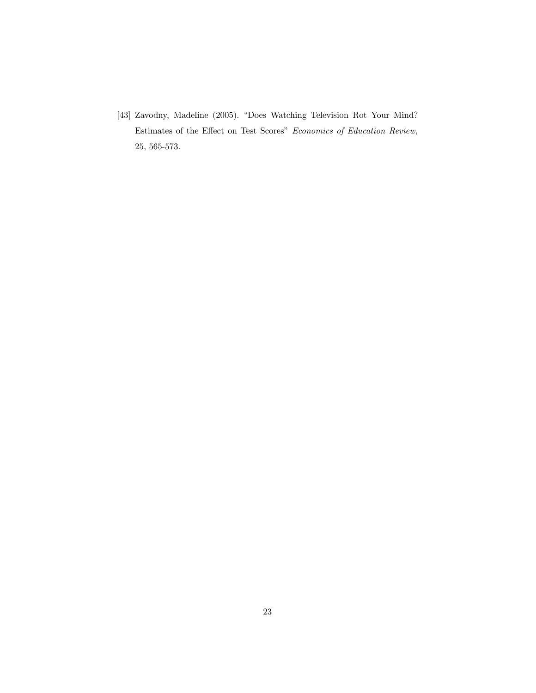[43] Zavodny, Madeline (2005). "Does Watching Television Rot Your Mind? Estimates of the Effect on Test Scores" Economics of Education Review, 25, 565-573.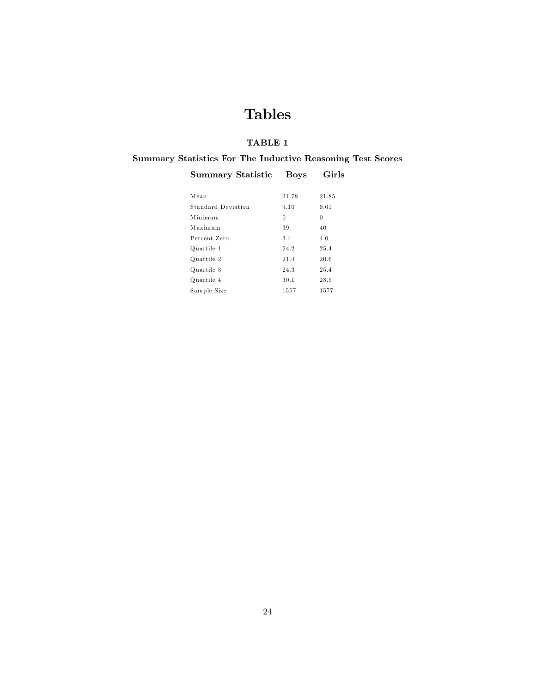## Tables

## TABLE 1

## Summary Statistics For The Inductive Reasoning Test Scores

## Summary Statistic Boys Girls

| Mean               | 21.78 | 21.85    |
|--------------------|-------|----------|
| Standard Deviation | 9.10  | 9.61     |
| Minimum            | 0     | $\theta$ |
| Maximum            | 39    | 40       |
| Percent Zero       | 3.4   | 4.0      |
| Quartile 1         | 24.2  | 25.4     |
| Quartile 2         | 21.4  | 20.6     |
| Quartile 3         | 24.3  | 25.4     |
| Quartile 4         | 30.1  | 28.5     |
| Sample Size        | 1557  | 1577     |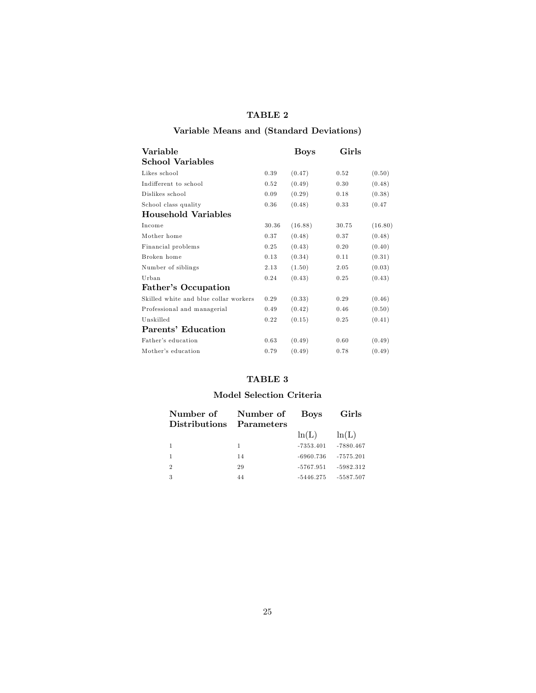## Variable Means and (Standard Deviations)

| Variable                              |       | Boys    | Girls |         |
|---------------------------------------|-------|---------|-------|---------|
| <b>School Variables</b>               |       |         |       |         |
| Likes school                          | 0.39  | (0.47)  | 0.52  | (0.50)  |
| Indifferent to school                 | 0.52  | (0.49)  | 0.30  | (0.48)  |
| Dislikes school                       | 0.09  | (0.29)  | 0.18  | (0.38)  |
| School class quality                  | 0.36  | (0.48)  | 0.33  | (0.47)  |
| Household Variables                   |       |         |       |         |
| Income                                | 30.36 | (16.88) | 30.75 | (16.80) |
| Mother home                           | 0.37  | (0.48)  | 0.37  | (0.48)  |
| Financial problems                    | 0.25  | (0.43)  | 0.20  | (0.40)  |
| Broken home                           | 0.13  | (0.34)  | 0.11  | (0.31)  |
| Number of siblings                    | 2.13  | (1.50)  | 2.05  | (0.03)  |
| Urban                                 | 0.24  | (0.43)  | 0.25  | (0.43)  |
| Father's Occupation                   |       |         |       |         |
| Skilled white and blue collar workers | 0.29  | (0.33)  | 0.29  | (0.46)  |
| Professional and managerial           | 0.49  | (0.42)  | 0.46  | (0.50)  |
| Unskilled                             | 0.22  | (0.15)  | 0.25  | (0.41)  |
| Parents' Education                    |       |         |       |         |
| Father's education                    | 0.63  | (0.49)  | 0.60  | (0.49)  |
| Mother's education                    | 0.79  | (0.49)  | 0.78  | (0.49)  |

#### TABLE 3

#### Model Selection Criteria

| Number of            | Number of  | <b>Boys</b> | Girls       |
|----------------------|------------|-------------|-------------|
| <b>Distributions</b> | Parameters |             |             |
|                      |            | ln(L)       | ln(L)       |
|                      | 1          | $-7353.401$ | $-7880.467$ |
|                      | 14         | $-6960.736$ | $-7575.201$ |
| $\overline{2}$       | 29         | $-5767.951$ | $-5982.312$ |
| -3                   | 44         | $-5446.275$ | $-5587.507$ |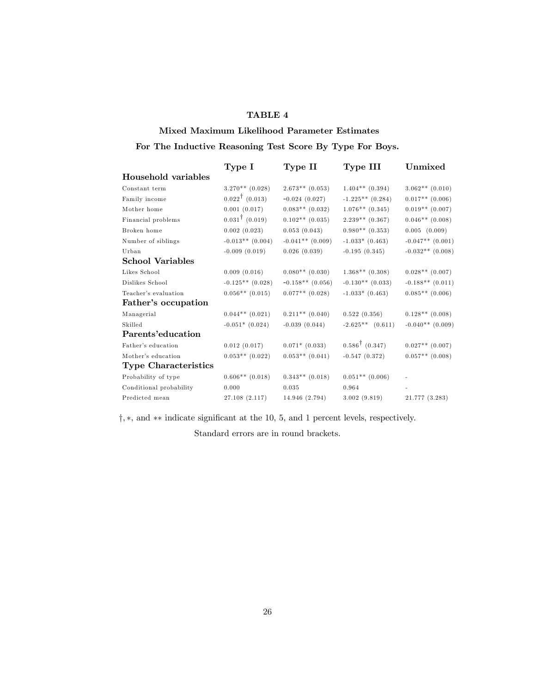#### Mixed Maximum Likelihood Parameter Estimates

## For The Inductive Reasoning Test Score By Type For Boys.

|                             | Type I                    | Type II             | Type III                  | Unmixed              |
|-----------------------------|---------------------------|---------------------|---------------------------|----------------------|
| Household variables         |                           |                     |                           |                      |
| Constant term               | $3.270**$ (0.028)         | $2.673**$ (0.053)   | $1.404**$ (0.394)         | $3.062**$ (0.010)    |
| Family income               | $0.022^{\dagger}$ (0.013) | $-0.024(0.027)$     | $-1.225**$ (0.284)        | $0.017**$ (0.006)    |
| Mother home                 | 0.001(0.017)              | $0.083**$ (0.032)   | $1.076**$ (0.345)         | $0.019**$ (0.007)    |
| Financial problems          | $0.031^{\dagger}$ (0.019) | $0.102**$ (0.035)   | $2.239**$ (0.367)         | $0.046**$ (0.008)    |
| Broken home                 | 0.002(0.023)              | 0.053(0.043)        | $0.980**$ (0.353)         | $0.005$ $(0.009)$    |
| Number of siblings          | $-0.013**$ (0.004)        | $-0.041**$ (0.009)  | $-1.033*$ (0.463)         | $-0.047**$ $(0.001)$ |
| Urban                       | $-0.009(0.019)$           | 0.026(0.039)        | $-0.195(0.345)$           | $-0.032**$ (0.008)   |
| <b>School Variables</b>     |                           |                     |                           |                      |
| Likes School                | 0.009(0.016)              | $0.080**$ (0.030)   | $1.368**$ (0.308)         | $0.028**$ (0.007)    |
| Dislikes School             | $-0.125**$ (0.028)        | $-0.158**$ (0.056)  | $-0.130**$ (0.033)        | $-0.188**$ $(0.011)$ |
| Teacher's evaluation        | $0.056**$ (0.015)         | $0.077**$ (0.028)   | $-1.033*$ (0.463)         | $0.085**$ (0.006)    |
| Father's occupation         |                           |                     |                           |                      |
| Managerial                  | $0.044**$ $(0.021)$       | $0.211**$ $(0.040)$ | 0.522(0.356)              | $0.128**$ (0.008)    |
| Skilled                     | $-0.051*$ (0.024)         | $-0.039(0.044)$     | $-2.625**$ $(0.611)$      | $-0.040**$ (0.009)   |
| Parents'education           |                           |                     |                           |                      |
| Father's education          | 0.012(0.017)              | $0.071*$ (0.033)    | $0.586^{\dagger}$ (0.347) | $0.027**$ (0.007)    |
| Mother's education          | $0.053**$ (0.022)         | $0.053**$ $(0.041)$ | $-0.547(0.372)$           | $0.057**$ (0.008)    |
| <b>Type Characteristics</b> |                           |                     |                           |                      |
| Probability of type         | $0.606**$ (0.018)         | $0.343**$ (0.018)   | $0.051**$ (0.006)         |                      |
| Conditional probability     | 0.000                     | 0.035               | 0.964                     |                      |
| Predicted mean              | 27.108 (2.117)            | 14.946 (2.794)      | 3.002(9.819)              | 21.777 (3.283)       |

†, ∗, and ∗∗ indicate significant at the 10, 5, and 1 percent levels, respectively.

Standard errors are in round brackets.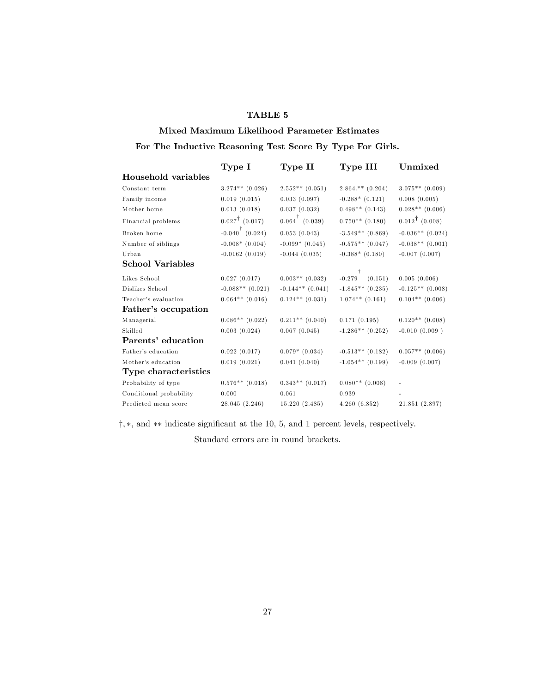#### Mixed Maximum Likelihood Parameter Estimates

## For The Inductive Reasoning Test Score By Type For Girls.

|                         | Type I                     | Type II                                          | Type III                 | Unmixed                   |
|-------------------------|----------------------------|--------------------------------------------------|--------------------------|---------------------------|
| Household variables     |                            |                                                  |                          |                           |
| Constant term           | $3.274**$ (0.026)          | $2.552**$ (0.051)                                | $2.864.**(0.204)$        | $3.075**$ (0.009)         |
| Family income           | 0.019(0.015)               | 0.033(0.097)                                     | $-0.288*$ $(0.121)$      | 0.008(0.005)              |
| Mother home             | 0.013(0.018)               | 0.037(0.032)                                     | $0.498**$ (0.143)        | $0.028**$ (0.006)         |
| Financial problems      | $0.027^{\dagger}$ (0.017)  | $0.064 \begin{pmatrix} 1 \\ 0.039 \end{pmatrix}$ | $0.750**$ (0.180)        | $0.012^{\dagger}$ (0.008) |
| Broken home             | $-0.040^{\dagger}$ (0.024) | 0.053(0.043)                                     | $-3.549**$ (0.869)       | $-0.036**$ (0.024)        |
| Number of siblings      | $-0.008*(0.004)$           | $-0.099*$ $(0.045)$                              | $-0.575**$ (0.047)       | $-0.038**$ (0.001)        |
| Urban                   | $-0.0162(0.019)$           | $-0.044(0.035)$                                  | $-0.388*$ (0.180)        | $-0.007(0.007)$           |
| <b>School Variables</b> |                            |                                                  |                          |                           |
| Likes School            | 0.027(0.017)               | $0.003**$ (0.032)                                | Ť<br>$-0.279$<br>(0.151) | 0.005(0.006)              |
| Dislikes School         | $-0.088**$ (0.021)         | $-0.144**$ $(0.041)$                             | $-1.845**$ (0.235)       | $-0.125**$ (0.008)        |
| Teacher's evaluation    | $0.064**$ (0.016)          | $0.124**$ $(0.031)$                              | $1.074**$ (0.161)        | $0.104**$ (0.006)         |
| Father's occupation     |                            |                                                  |                          |                           |
| Managerial              | $0.086**$ (0.022)          | $0.211**$ $(0.040)$                              | 0.171(0.195)             | $0.120**$ (0.008)         |
| Skilled                 | 0.003(0.024)               | 0.067(0.045)                                     | $-1.286**$ (0.252)       | $-0.010(0.009)$           |
| Parents' education      |                            |                                                  |                          |                           |
| Father's education      | 0.022(0.017)               | $0.079*$ $(0.034)$                               | $-0.513**$ (0.182)       | $0.057**$ (0.006)         |
| Mother's education      | 0.019(0.021)               | 0.041(0.040)                                     | $-1.054**$ (0.199)       | $-0.009(0.007)$           |
| Type characteristics    |                            |                                                  |                          |                           |
| Probability of type     | $0.576**$ (0.018)          | $0.343**$ (0.017)                                | $0.080**$ (0.008)        |                           |
| Conditional probability | 0.000                      | 0.061                                            | 0.939                    |                           |
| Predicted mean score    | 28.045(2.246)              | 15.220(2.485)                                    | 4.260(6.852)             | 21.851 (2.897)            |

†, ∗, and ∗∗ indicate significant at the 10, 5, and 1 percent levels, respectively.

Standard errors are in round brackets.